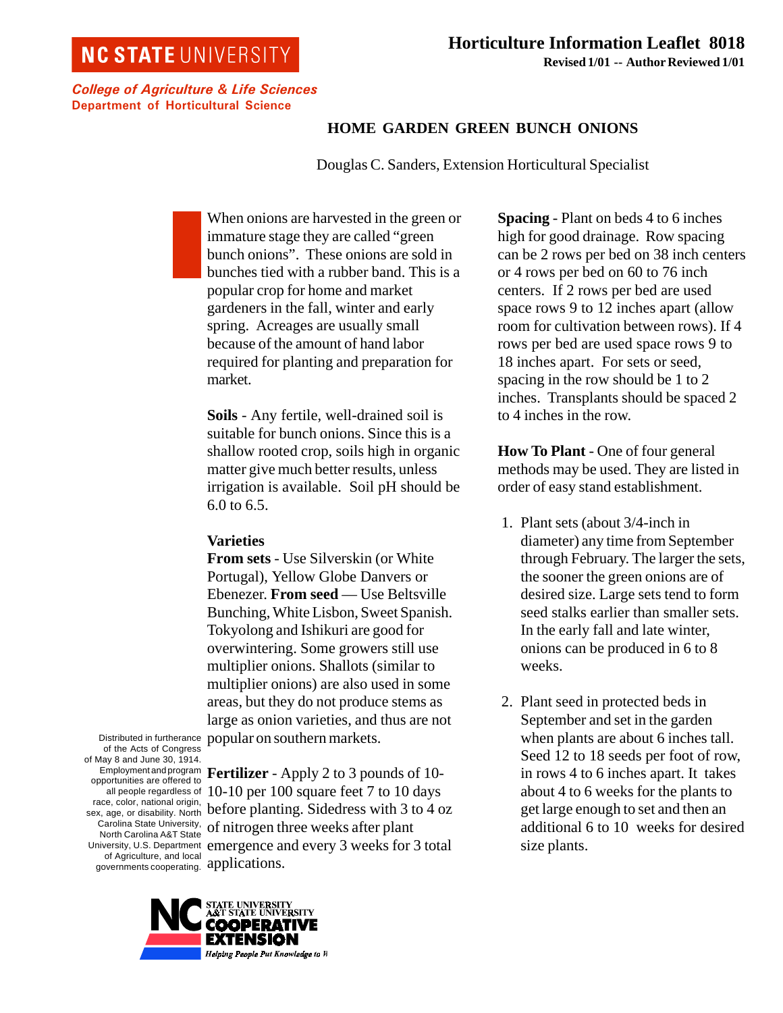## **NC STATE UNIVERSITY**

College of Agriculture & Life Sciences Department of Horticultural Science

## **HOME GARDEN GREEN BUNCH ONIONS**

Douglas C. Sanders, Extension Horticultural Specialist

When onions are harvested in the green or immature stage they are called "green bunch onions". These onions are sold in bunches tied with a rubber band. This is a popular crop for home and market gardeners in the fall, winter and early spring. Acreages are usually small because of the amount of hand labor required for planting and preparation for market.

**Soils** - Any fertile, well-drained soil is suitable for bunch onions. Since this is a shallow rooted crop, soils high in organic matter give much better results, unless irrigation is available. Soil pH should be 6.0 to 6.5.

## **Varieties**

**From sets** - Use Silverskin (or White Portugal), Yellow Globe Danvers or Ebenezer. **From seed** — Use Beltsville Bunching, White Lisbon, Sweet Spanish. Tokyolong and Ishikuri are good for overwintering. Some growers still use multiplier onions. Shallots (similar to multiplier onions) are also used in some areas, but they do not produce stems as large as onion varieties, and thus are not popular on southern markets.

Distributed in furtherance of the Acts of Congress of May 8 and June 30, 1914. Employment and program opportunities are offered to all people regardless of race, color, national origin, sex, age, or disability. North Carolina State University, North Carolina A&T State University, U.S. Department of Agriculture, and local governments cooperating.

**Fertilizer** - Apply 2 to 3 pounds of 10- 10-10 per 100 square feet 7 to 10 days before planting. Sidedress with 3 to 4 oz of nitrogen three weeks after plant emergence and every 3 weeks for 3 total applications.



**Spacing** - Plant on beds 4 to 6 inches high for good drainage. Row spacing can be 2 rows per bed on 38 inch centers or 4 rows per bed on 60 to 76 inch centers. If 2 rows per bed are used space rows 9 to 12 inches apart (allow room for cultivation between rows). If 4 rows per bed are used space rows 9 to 18 inches apart. For sets or seed, spacing in the row should be 1 to 2 inches. Transplants should be spaced 2 to 4 inches in the row.

**How To Plant** - One of four general methods may be used. They are listed in order of easy stand establishment.

- 1. Plant sets (about 3/4-inch in diameter) any time from September through February. The larger the sets, the sooner the green onions are of desired size. Large sets tend to form seed stalks earlier than smaller sets. In the early fall and late winter, onions can be produced in 6 to 8 weeks.
- 2. Plant seed in protected beds in September and set in the garden when plants are about 6 inches tall. Seed 12 to 18 seeds per foot of row, in rows 4 to 6 inches apart. It takes about 4 to 6 weeks for the plants to get large enough to set and then an additional 6 to 10 weeks for desired size plants.